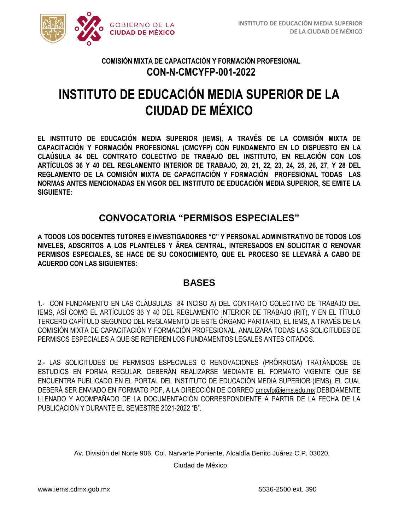

# **INSTITUTO DE EDUCACIÓN MEDIA SUPERIOR DE LA CIUDAD DE MÉXICO**

**EL INSTITUTO DE EDUCACIÓN MEDIA SUPERIOR (IEMS), A TRAVÉS DE LA COMISIÓN MIXTA DE CAPACITACIÓN Y FORMACIÓN PROFESIONAL (CMCYFP) CON FUNDAMENTO EN LO DISPUESTO EN LA CLAÚSULA 84 DEL CONTRATO COLECTIVO DE TRABAJO DEL INSTITUTO, EN RELACIÓN CON LOS ARTÍCULOS 36 Y 40 DEL REGLAMENTO INTERIOR DE TRABAJO, 20, 21, 22, 23, 24, 25, 26, 27, Y 28 DEL REGLAMENTO DE LA COMISIÓN MIXTA DE CAPACITACIÓN Y FORMACIÓN PROFESIONAL TODAS LAS NORMAS ANTES MENCIONADAS EN VIGOR DEL INSTITUTO DE EDUCACIÓN MEDIA SUPERIOR, SE EMITE LA SIGUIENTE:** 

# **CONVOCATORIA "PERMISOS ESPECIALES"**

**A TODOS LOS DOCENTES TUTORES E INVESTIGADORES "C" Y PERSONAL ADMINISTRATIVO DE TODOS LOS NIVELES, ADSCRITOS A LOS PLANTELES Y ÁREA CENTRAL, INTERESADOS EN SOLICITAR O RENOVAR PERMISOS ESPECIALES, SE HACE DE SU CONOCIMIENTO, QUE EL PROCESO SE LLEVARÁ A CABO DE ACUERDO CON LAS SIGUIENTES:** 

# **BASES**

1.- CON FUNDAMENTO EN LAS CLÁUSULAS 84 INCISO A) DEL CONTRATO COLECTIVO DE TRABAJO DEL IEMS, ASÍ COMO EL ARTÍCULOS 36 Y 40 DEL REGLAMENTO INTERIOR DE TRABAJO (RIT), Y EN EL TÍTULO TERCERO CAPÍTULO SEGUNDO DEL REGLAMENTO DE ESTE ÓRGANO PARITARIO, EL IEMS, A TRAVÉS DE LA COMISIÓN MIXTA DE CAPACITACIÓN Y FORMACIÓN PROFESIONAL, ANALIZARÁ TODAS LAS SOLICITUDES DE PERMISOS ESPECIALES A QUE SE REFIEREN LOS FUNDAMENTOS LEGALES ANTES CITADOS.

2.- LAS SOLICITUDES DE PERMISOS ESPECIALES O RENOVACIONES (PRÓRROGA) TRATÁNDOSE DE ESTUDIOS EN FORMA REGULAR, DEBERÁN REALIZARSE MEDIANTE EL FORMATO VIGENTE QUE SE ENCUENTRA PUBLICADO EN EL PORTAL DEL INSTITUTO DE EDUCACIÓN MEDIA SUPERIOR (IEMS), EL CUAL DEBERÁ SER ENVIADO EN FORMATO PDF, A LA DIRECCIÓN DE CORREO cmcyfp@iems.edu.mx DEBIDAMENTE LLENADO Y ACOMPAÑADO DE LA DOCUMENTACIÓN CORRESPONDIENTE A PARTIR DE LA FECHA DE LA PUBLICACIÓN Y DURANTE EL SEMESTRE 2021-2022 "B".

Av. División del Norte 906, Col. Narvarte Poniente, Alcaldía Benito Juárez C.P. 03020,

Ciudad de México.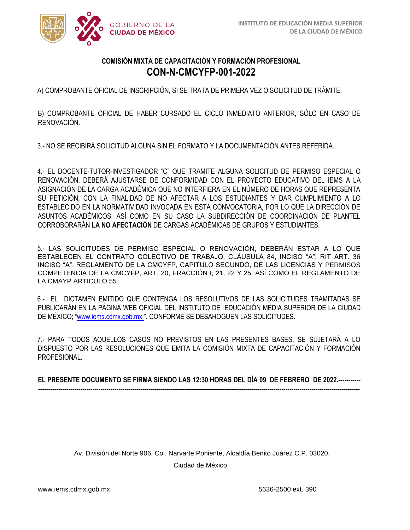

A) COMPROBANTE OFICIAL DE INSCRIPCIÓN, SI SE TRATA DE PRIMERA VEZ O SOLICITUD DE TRÁMITE.

B) COMPROBANTE OFICIAL DE HABER CURSADO EL CICLO INMEDIATO ANTERIOR, SÓLO EN CASO DE RENOVACIÓN.

3.- NO SE RECIBIRÁ SOLICITUD ALGUNA SIN EL FORMATO Y LA DOCUMENTACIÓN ANTES REFERIDA.

4.- EL DOCENTE-TUTOR-INVESTIGADOR "C" QUE TRAMITE ALGUNA SOLICITUD DE PERMISO ESPECIAL O RENOVACIÓN, DEBERÁ AJUSTARSE DE CONFORMIDAD CON EL PROYECTO EDUCATIVO DEL IEMS A LA ASIGNACIÓN DE LA CARGA ACADÉMICA QUE NO INTERFIERA EN EL NÚMERO DE HORAS QUE REPRESENTA SU PETICIÓN, CON LA FINALIDAD DE NO AFECTAR A LOS ESTUDIANTES Y DAR CUMPLIMIENTO A LO ESTABLECIDO EN LA NORMATIVIDAD INVOCADA EN ESTA CONVOCATORIA, POR LO QUE LA DIRECCIÓN DE ASUNTOS ACADÉMICOS, ASÍ COMO EN SU CASO LA SUBDIRECCIÓN DE COORDINACIÓN DE PLANTEL CORROBORARÁN **LA NO AFECTACIÓN** DE CARGAS ACADÉMICAS DE GRUPOS Y ESTUDIANTES.

5.- LAS SOLICITUDES DE PERMISO ESPECIAL O RENOVACIÓN, DEBERÁN ESTAR A LO QUE ESTABLECEN EL CONTRATO COLECTIVO DE TRABAJO, CLÁUSULA 84, INCISO "A"; RIT ART. 36 INCISO "A"; REGLAMENTO DE LA CMCYFP, CAPITULO SEGUNDO, DE LAS LICENCIAS Y PERMISOS COMPETENCIA DE LA CMCYFP, ART. 20, FRACCIÓN I; 21, 22 Y 25, ASÍ COMO EL REGLAMENTO DE LA CMAYP ARTICULO 55.

6.- EL DICTAMEN EMITIDO QUE CONTENGA LOS RESOLUTIVOS DE LAS SOLICITUDES TRAMITADAS SE PUBLICARÁN EN LA PÁGINA WEB OFICIAL DEL INSTITUTO DE EDUCACIÓN MEDIA SUPERIOR DE LA CIUDAD DE MÉXICO; ["](about:blank)[www.iems.cdmx.gob.mx](about:blank)", CONFORME SE DESAHOGUEN LAS SOLICITUDES.

7.- PARA TODOS AQUELLOS CASOS NO PREVISTOS EN LAS PRESENTES BASES, SE SUJETARÁ A LO DISPUESTO POR LAS RESOLUCIONES QUE EMITA LA COMISIÓN MIXTA DE CAPACITACIÓN Y FORMACIÓN PROFESIONAL.

**EL PRESENTE DOCUMENTO SE FIRMA SIENDO LAS 12:30 HORAS DEL DÍA 09 DE FEBRERO DE 2022.----------- ----------------------------------------------------------------------------------------------------------------------------------------------------------------**

> Av. División del Norte 906, Col. Narvarte Poniente, Alcaldía Benito Juárez C.P. 03020, Ciudad de México.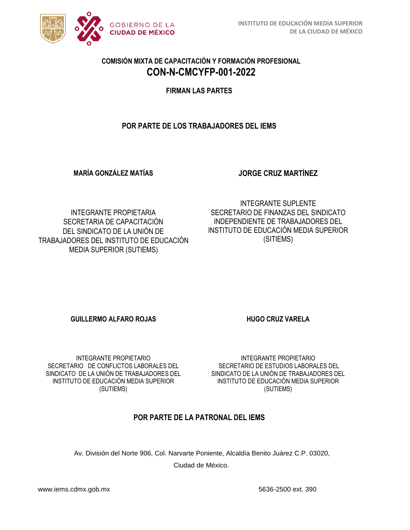

**FIRMAN LAS PARTES**

#### **POR PARTE DE LOS TRABAJADORES DEL IEMS**

**MARÍA GONZÁLEZ MATÍAS** 

**JORGE CRUZ MARTÍNEZ** 

INTEGRANTE PROPIETARIA SECRETARIA DE CAPACITACIÓN DEL SINDICATO DE LA UNIÓN DE TRABAJADORES DEL INSTITUTO DE EDUCACIÓN MEDIA SUPERIOR (SUTIEMS)

INTEGRANTE SUPLENTE SECRETARIO DE FINANZAS DEL SINDICATO INDEPENDIENTE DE TRABAJADORES DEL INSTITUTO DE EDUCACIÓN MEDIA SUPERIOR (SITIEMS)

**GUILLERMO ALFARO ROJAS HUGO CRUZ VARELA** 

INTEGRANTE PROPIETARIO SECRETARIO DE CONFLICTOS LABORALES DEL SINDICATO DE LA UNIÓN DE TRABAJADORES DEL INSTITUTO DE EDUCACIÓN MEDIA SUPERIOR (SUTIEMS)

INTEGRANTE PROPIETARIO SECRETARIO DE ESTUDIOS LABORALES DEL SINDICATO DE LA UNIÓN DE TRABAJADORES DEL INSTITUTO DE EDUCACIÓN MEDIA SUPERIOR (SUTIEMS)

# **POR PARTE DE LA PATRONAL DEL IEMS**

Av. División del Norte 906, Col. Narvarte Poniente, Alcaldía Benito Juárez C.P. 03020, Ciudad de México.

www.iems.cdmx.gob.mx 5636-2500 ext. 390